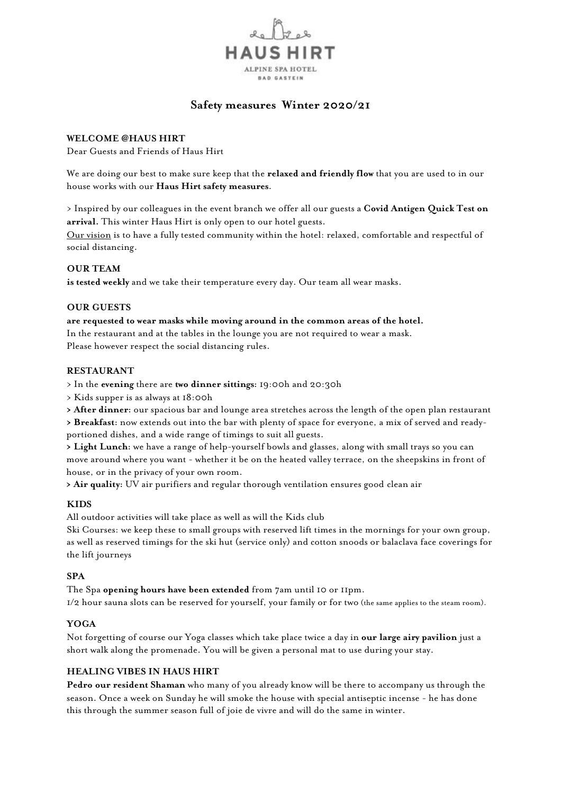

# **Safety measures Winter 2020/21**

## **WELCOME @HAUS HIRT**

Dear Guests and Friends of Haus Hirt

We are doing our best to make sure keep that the **relaxed and friendly flow** that you are used to in our house works with our **Haus Hirt safety measures**.

> Inspired by our colleagues in the event branch we offer all our guests a **Covid Antigen Quick Test on arrival.** This winter Haus Hirt is only open to our hotel guests.

Our vision is to have a fully tested community within the hotel: relaxed, comfortable and respectful of social distancing.

### **OUR TEAM**

**is tested weekly** and we take their temperature every day. Our team all wear masks.

#### **OUR GUESTS**

#### **are requested to wear masks while moving around in the common areas of the hotel.**

In the restaurant and at the tables in the lounge you are not required to wear a mask. Please however respect the social distancing rules.

#### **RESTAURANT**

- > In the **evening** there are **two dinner sittings:** 19:00h and 20:30h
- > Kids supper is as always at 18:00h
- **> After dinner:** our spacious bar and lounge area stretches across the length of the open plan restaurant

**> Breakfast:** now extends out into the bar with plenty of space for everyone, a mix of served and readyportioned dishes, and a wide range of timings to suit all guests.

**> Light Lunch:** we have a range of help-yourself bowls and glasses, along with small trays so you can move around where you want - whether it be on the heated valley terrace, on the sheepskins in front of house, or in the privacy of your own room.

**> Air quality:** UV air purifiers and regular thorough ventilation ensures good clean air

#### **KIDS**

All outdoor activities will take place as well as will the Kids club

Ski Courses: we keep these to small groups with reserved lift times in the mornings for your own group, as well as reserved timings for the ski hut (service only) and cotton snoods or balaclava face coverings for the lift journeys

#### **SPA**

The Spa **opening hours have been extended** from 7am until 10 or 11pm.

1/2 hour sauna slots can be reserved for yourself, your family or for two (the same applies to the steam room).

# **YOGA**

Not forgetting of course our Yoga classes which take place twice a day in **our large airy pavilion** just a short walk along the promenade. You will be given a personal mat to use during your stay.

#### **HEALING VIBES IN HAUS HIRT**

**Pedro our resident Shaman** who many of you already know will be there to accompany us through the season. Once a week on Sunday he will smoke the house with special antiseptic incense - he has done this through the summer season full of joie de vivre and will do the same in winter.